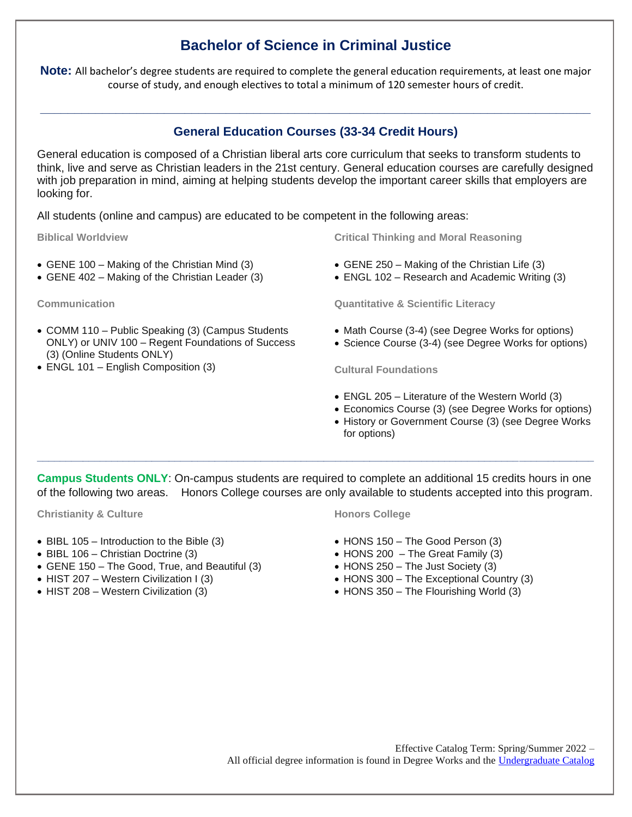# **Bachelor of Science in Criminal Justice**

**Note:** All bachelor's degree students are required to complete the general education requirements, at least one major course of study, and enough electives to total a minimum of 120 semester hours of credit.

## **General Education Courses (33-34 Credit Hours)**

**\_\_\_\_\_\_\_\_\_\_\_\_\_\_\_\_\_\_\_\_\_\_\_\_\_\_\_\_\_\_\_\_\_\_\_\_\_\_\_\_\_\_\_\_\_\_\_\_\_\_\_\_\_\_\_\_\_\_\_\_\_\_\_\_\_\_\_\_\_\_\_\_\_\_\_\_\_\_\_\_**

General education is composed of a Christian liberal arts core curriculum that seeks to transform students to think, live and serve as Christian leaders in the 21st century. General education courses are carefully designed with job preparation in mind, aiming at helping students develop the important career skills that employers are looking for.

All students (online and campus) are educated to be competent in the following areas:

**Biblical Worldview**

- GENE 100 Making of the Christian Mind (3)
- GENE 402 Making of the Christian Leader (3)

**Communication**

- COMM 110 Public Speaking (3) (Campus Students ONLY) or UNIV 100 – Regent Foundations of Success (3) (Online Students ONLY)
- ENGL 101 English Composition (3)

**Critical Thinking and Moral Reasoning**

- GENE 250 Making of the Christian Life (3)
- ENGL 102 Research and Academic Writing (3)

**Quantitative & Scientific Literacy**

- Math Course (3-4) (see Degree Works for options)
- Science Course (3-4) (see Degree Works for options)

**Cultural Foundations**

- ENGL 205 Literature of the Western World (3)
- Economics Course (3) (see Degree Works for options)
- History or Government Course (3) (see Degree Works for options)

**Campus Students ONLY**: On-campus students are required to complete an additional 15 credits hours in one of the following two areas. Honors College courses are only available to students accepted into this program.

**\_\_\_\_\_\_\_\_\_\_\_\_\_\_\_\_\_\_\_\_\_\_\_\_\_\_\_\_\_\_\_\_\_\_\_\_\_\_\_\_\_\_\_\_\_\_\_\_\_\_\_\_\_\_\_\_\_\_\_\_\_\_\_\_\_\_\_\_\_\_\_\_\_\_\_\_\_\_\_\_\_\_\_\_\_\_\_\_\_\_\_\_\_\_\_\_\_**

**Christianity & Culture**

- BIBL 105 Introduction to the Bible (3)
- BIBL 106 Christian Doctrine (3)
- GENE 150 The Good, True, and Beautiful (3)
- HIST 207 Western Civilization I (3)
- HIST 208 Western Civilization (3)

#### **Honors College**

- HONS 150 The Good Person (3)
- $\bullet$  HONS 200 The Great Family (3)
- HONS 250 The Just Society (3)
- HONS 300 The Exceptional Country (3)
- HONS 350 The Flourishing World (3)